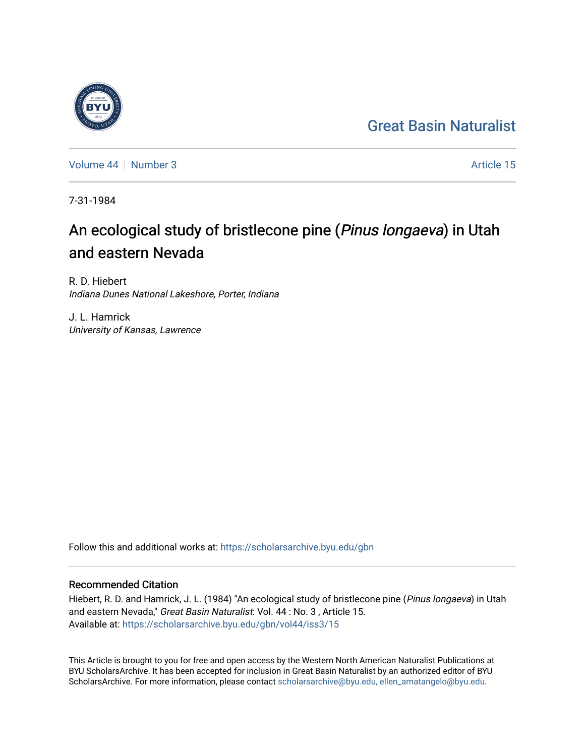## [Great Basin Naturalist](https://scholarsarchive.byu.edu/gbn)

[Volume 44](https://scholarsarchive.byu.edu/gbn/vol44) | [Number 3](https://scholarsarchive.byu.edu/gbn/vol44/iss3) Article 15

7-31-1984

# An ecological study of bristlecone pine (Pinus longaeva) in Utah and eastern Nevada

R. D. Hiebert Indiana Dunes National Lakeshore, Porter, Indiana

J. L. Hamrick University of Kansas, Lawrence

Follow this and additional works at: [https://scholarsarchive.byu.edu/gbn](https://scholarsarchive.byu.edu/gbn?utm_source=scholarsarchive.byu.edu%2Fgbn%2Fvol44%2Fiss3%2F15&utm_medium=PDF&utm_campaign=PDFCoverPages) 

### Recommended Citation

Hiebert, R. D. and Hamrick, J. L. (1984) "An ecological study of bristlecone pine (Pinus longaeva) in Utah and eastern Nevada," Great Basin Naturalist: Vol. 44 : No. 3, Article 15. Available at: [https://scholarsarchive.byu.edu/gbn/vol44/iss3/15](https://scholarsarchive.byu.edu/gbn/vol44/iss3/15?utm_source=scholarsarchive.byu.edu%2Fgbn%2Fvol44%2Fiss3%2F15&utm_medium=PDF&utm_campaign=PDFCoverPages) 

This Article is brought to you for free and open access by the Western North American Naturalist Publications at BYU ScholarsArchive. It has been accepted for inclusion in Great Basin Naturalist by an authorized editor of BYU ScholarsArchive. For more information, please contact [scholarsarchive@byu.edu, ellen\\_amatangelo@byu.edu.](mailto:scholarsarchive@byu.edu,%20ellen_amatangelo@byu.edu)

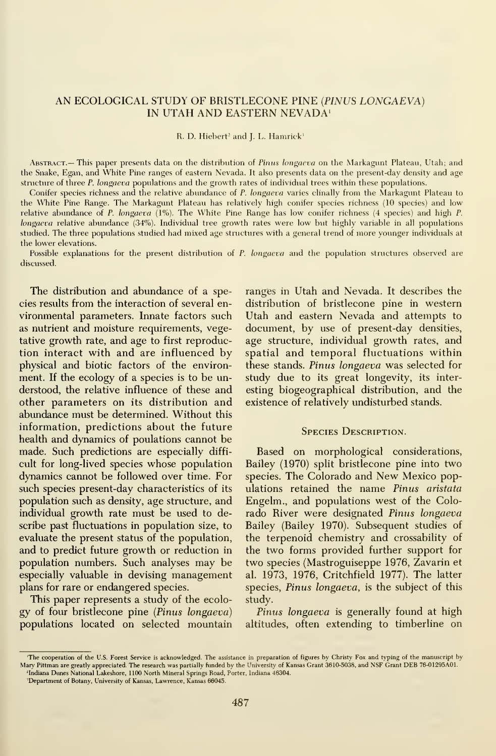#### AN ECOLOGICAL STUDY OF BRISTLECONE PINE {PINUS LONGAEVA) IN UTAH AND EASTERN NEVADA'

R. D. Hiebert<sup>2</sup> and J. L. Hamrick<sup>3</sup>

ABSTRACT.— This paper presents data on the distribution of Pinus longaeva on the Markagunt Plateau, Utah; and the Snake, Egan, and White Pine ranges of eastern Nevada. It also presents data on the present-day density and age structure of three P. longaeva populations and the growth rates of individual trees within these populations.

Conifer species richness and the relative abundance of P. longaeva varies clinally from the Markagunt Plateau to the White Pine Range. The Markagunt Plateau has relatively high conifer species richness (10 species) and low relative abundance of P. longaeva (1%). The White Pine Range has low conifer richness (4 species) and high P. longaeva relative abundance (34%). Individual tree growth rates were low but highly variable in all populations studied. The three populations studied had mixed age structures with a general trend of more younger individuals at the lower elevations.

Possible explanations for the present distribution of P. longaeva and the population structures observed are discussed.

The distribution and abundance of a species results from the interaction of several en vironmental parameters. Innate factors such as nutrient and moisture requirements, vegetative growth rate, and age to first reproduction interact with and are influenced by physical and biotic factors of the environ ment. If the ecology of a species is to be understood, the relative influence of these and other parameters on its distribution and abundance must be determined. Without this information, predictions about the future health and dynamics of poulations cannot be made. Such predictions are especially diffi cult for long-lived species whose population dynamics carmot be followed over time. For such species present-day characteristics of its population such as density, age structure, and individual growth rate must be used to describe past fluctuations in population size, to evaluate the present status of the population, and to predict future growth or reduction in population numbers. Such analyses may be especially valuable in devising management plans for rare or endangered species.

This paper represents a study of the ecolo gy of four bristlecone pine {Pinus longaeva) populations located on selected mountain

ranges in Utah and Nevada. It describes the distribution of bristlecone pine in western Utah and eastern Nevada and attempts to document, by use of present-day densities, age structure, individual growth rates, and spatial and temporal fluctuations within these stands. Pinus longaeva was selected for study due to its great longevity, its inter esting biogeographical distribution, and the existence of relatively undisturbed stands.

#### SPECIES DESCRIPTION.

Based on morphological considerations, Bailey (1970) split bristlecone pine into two species. The Colorado and New Mexico populations retained the name Pinus aristata Engelm., and populations west of the Colorado River were designated Pinus longaeva Bailey (Bailey 1970). Subsequent studies of the terpenoid chemistry and crossability of the two forms provided further support for two species (Mastroguiseppe 1976, Zavarin et al. 1973, 1976, Critchfield 1977). The latter species, Pinus longaeva, is the subject of this study.

Pinus longaeva is generally found at high altitudes, often extending to timberline on

<sup>&#</sup>x27;The cooperation of the U.S. Forest Service is acknowledged. The assistance in preparation of figures by Christy Fox and typing of the manuscript by Mary Pittman are greatly appreciated. The research was partially funded by the University of Kansas Grant 3610-5038, and NSF Grant DEB 76-01295A01. <sup>2</sup>Indiana Dunes National Lakeshore, 1100 North Mineral Springs Road, Porter, Indiana 46304.

<sup>&#</sup>x27;Department of Botany, University of Kansas, Lawrence, Kansas 66045.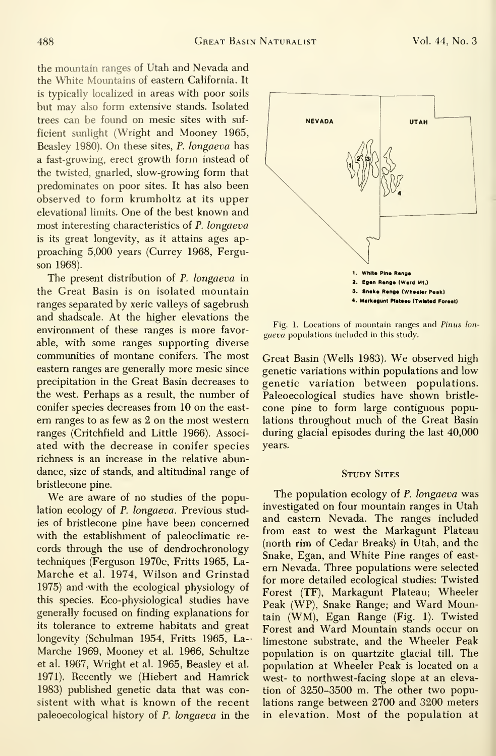the mountain ranges of Utah and Nevada and the White Mountains of eastern California. It is typically localized in areas with poor soils but may also form extensive stands. Isolated trees can be found on mesic sites with suf ficient sunlight (Wright and Mooney 1965, Beasley 1980). On these sites, P. longaeva has a fast-growing, erect growth form instead of the twisted, gnarled, slow-growing form that predominates on poor sites. It has also been observed to form krumholtz at its upper elevational limits. One of the best known and most interesting characteristics of P. longaeva is its great longevity, as it attains ages ap proaching 5,000 years (Currey 1968, Ferguson 1968).

The present distribution of *P. longaeva* in the Great Basin is on isolated mountain ranges separated by xeric valleys of sagebrush and shadscale. At the higher elevations the environment of these ranges is more favorable, with some ranges supporting diverse communities of montane conifers. The most eastern ranges are generally more mesic since precipitation in the Great Basin decreases to the west. Perhaps as a result, the number of conifer species decreases from 10 on the east ern ranges to as few as 2 on the most western ranges (Critchfield and Little 1966). Associated with the decrease in conifer species richness is an increase in the relative abundance, size of stands, and altitudinal range of bristlecone pine.

We are aware of no studies of the population ecology of P. longaeva. Previous studies of bristlecone pine have been concerned with the establishment of paleoclimatic re cords through the use of dendrochronology techniques (Ferguson 1970c, Fritts 1965, La- Marche et al. 1974, Wilson and Grinstad 1975) and -with the ecological physiology of this species. Eco-physiological studies have generally focused on finding explanations for its tolerance to extreme habitats and great longevity (Schulman 1954, Fritts 1965, La- Marche 1969, Mooney et al. 1966, Schultze et al. 1967, Wright et al. 1965, Beasley et al. 1971). Recently we (Hiebert and Hamrick 1983) published genetic data that was consistent with what is known of the recent paleoecological history of P. longaeva in the

gaeva populations included in this study.

Great Basin (Wells 1983). We observed high genetic variations within populations and low genetic variation between populations. Paleoecological studies have shown bristle cone pine to form large contiguous populations throughout much of the Great Basin during glacial episodes during the last 40,000 years.

#### **STUDY SITES**

The population ecology of P. longaeva was investigated on four mountain ranges in Utah and eastern Nevada. The ranges included from east to west the Markagunt Plateau (north rim of Cedar Breaks) in Utah, and the Snake, Egan, and White Pine ranges of east ern Nevada. Three populations were selected for more detailed ecological studies: Twisted Forest (TF), Markagunt Plateau; Wheeler Peak (WP), Snake Range; and Ward Mountain (WM), Egan Range (Fig. 1). Twisted Forest and Ward Mountain stands occur on limestone substrate, and the Wheeler Peak population is on quartzite glacial till. The population at Wheeler Peak is located on a west- to northwest-facing slope at an elevation of 3250-3500 m. The other two populations range between 2700 and 3200 meters in elevation. Most of the population at



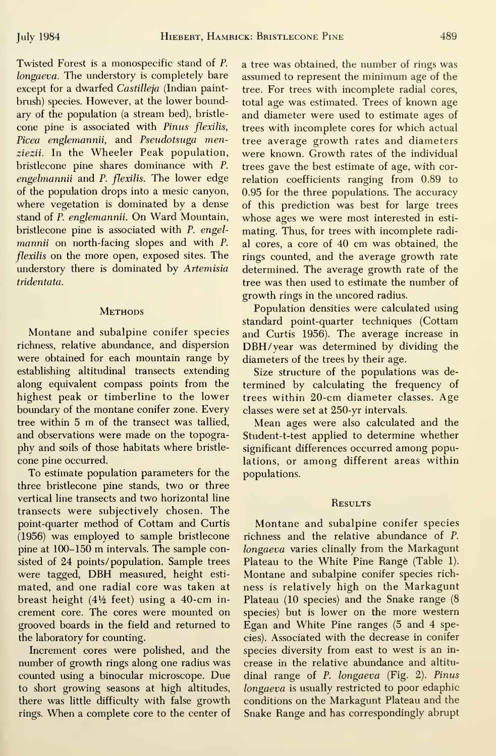Twisted Forest is a monospecific stand of P. longaeva. The understory is completely bare except for a dwarfed Castilleja (Indian paintbrush) species. However, at the lower boundary of the population (a stream bed), bristle cone pine is associated with Pinus flexilis, Picea englemannii, and Pseudotsuga menziezii. In the Wheeler Peak population, bristlecone pine shares dominance with P. engelmannii and P. flexilis. The lower edge of the population drops into a mesic canyon, where vegetation is dominated by a dense stand of P. englemannii. On Ward Mountain, bristlecone pine is associated with P. engelmannii on north-facing slopes and with P. flexilis on the more open, exposed sites. The understory there is dominated by Artemisia tridentata.

#### **METHODS**

Montane and subalpine conifer species richness, relative abundance, and dispersion were obtained for each mountain range by establishing altitudinal transects extending along equivalent compass points from the highest peak or timberline to the lower boundary of the montane conifer zone. Every tree within <sup>5</sup> m of the transect was tallied, and observations were made on the topography and soils of those habitats where bristle cone pine occurred.

To estimate population parameters for the three bristlecone pine stands, two or three vertical line transects and two horizontal line transects were subjectively chosen. The point-quarter method of Cottam and Curtis (1956) was employed to sample bristlecone pine at 100-150 m intervals. The sample consisted of 24 points/ population. Sample trees were tagged, DBH measured, height esti mated, and one radial core was taken at breast height ( $4\frac{1}{2}$  feet) using a 40-cm increment core. The cores were mounted on grooved boards in the field and returned to the laboratory for counting.

Increment cores were polished, and the number of growth rings along one radius was counted using a binocular microscope. Due to short growing seasons at high altitudes, there was little difficulty with false growth rings. When <sup>a</sup> complete core to the center of a tree was obtained, the number of rings was assumed to represent the minimum age of the tree. For trees with incomplete radial cores, total age was estimated. Trees of known age and diameter were used to estimate ages of trees with incomplete cores for which actual tree average growth rates and diameters were known. Growth rates of the individual trees gave the best estimate of age, with correlation coefficients ranging from 0.89 to 0.95 for the three populations. The accuracy of this prediction was best for large trees whose ages we were most interested in esti mating. Thus, for trees with incomplete radial cores, <sup>a</sup> core of 40 cm was obtained, the rings counted, and the average growth rate determined. The average growth rate of the tree was then used to estimate the number of growth rings in the uncored radius.

Population densities were calculated using standard point-quarter techniques (Cottam and Curtis 1956). The average increase in DBH/year was determined by dividing the diameters of the trees by their age.

Size structure of the populations was de termined by calculating the frequency of trees within 20-cm diameter classes. Age classes were set at 250-yr intervals.

Mean ages were also calculated and the Student-t-test applied to determine whether significant differences occurred among populations, or among different areas within populations.

#### **RESULTS**

Montane and subalpine conifer species richness and the relative abundance of P. longaeva varies clinally from the Markagunt Plateau to the White Pine Range (Table 1). Montane and subalpine conifer species rich ness is relatively high on the Markagunt Plateau (10 species) and the Snake range (8 species) but is lower on the more western Egan and White Pine ranges (5 and 4 species). Associated with the decrease in conifer species diversity from east to west is an in crease in the relative abundance and altitu dinal range of P. longaeva (Fig. 2). Pinus longaeva is usually restricted to poor edaphic conditions on the Markagunt Plateau and the Snake Range and has correspondingly abrupt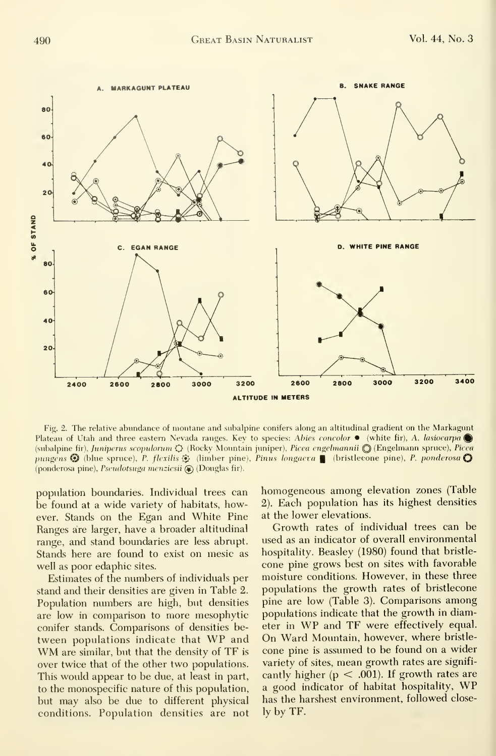

Fig. 2. The relative abundance of montane and subalpine conifers along an altitudinal gradient on the Markagunt Plateau of Utah and three eastern Nevada ranges. Key to species: Abies concolor • (white fir), A. lasiocarpa  $\bigcirc$ (subalpine fir), Juniperus scopulorum  $Q$  (Rocky Mountain juniper), Picea engelmannii Q (Engelmann spruce), Picea pungens  $\bigcirc$  (blue spruce), P. flexilis  $\bigcirc$  (limber pine), Pinus longaeva | (bristlecone pine), P. ponderosa  $\bigcirc$ (ponderosa pine), Pseudotsuga menziesii (D) (Douglas fir).

population boundaries. Individual trees can be found at a wide variety of habitats, however. Stands on the Egan and White Pine Ranges are larger, have a broader altitudinal range, and stand boundaries are less abrupt. Stands here are found to exist on mesic as well as poor edaphic sites.

Estimates of the numbers of individuals per stand and their densities are given in Table 2. Population numbers are high, but densities are low in comparison to more mesophytic conifer stands. Comparisons of densities between populations indicate that WP and WM are similar, but that the density of TF is over twice that of the other two populations. This would appear to be due, at least in part, to the monospecific nature of this population, but may also be due to different physical conditions. Population densities are not

homogeneous among elevation zones (Table 2). Each population has its highest densities at the lower elevations.

Growth rates of individual trees can be used as an indicator of overall environmental hospitality. Beasley (1980) found that bristle cone pine grows best on sites with favorable moisture conditions. However, in these three populations the growth rates of bristlecone pine are low (Table 3). Comparisons among populations indicate that the growth in diameter in WP and TF were effectively equal. On Ward Mountain, however, where bristle cone pine is assumed to be found on a wider variety of sites, mean growth rates are significantly higher ( $p < .001$ ). If growth rates are <sup>a</sup> good indicator of habitat hospitality, WP has the harshest environment, followed closely by TF.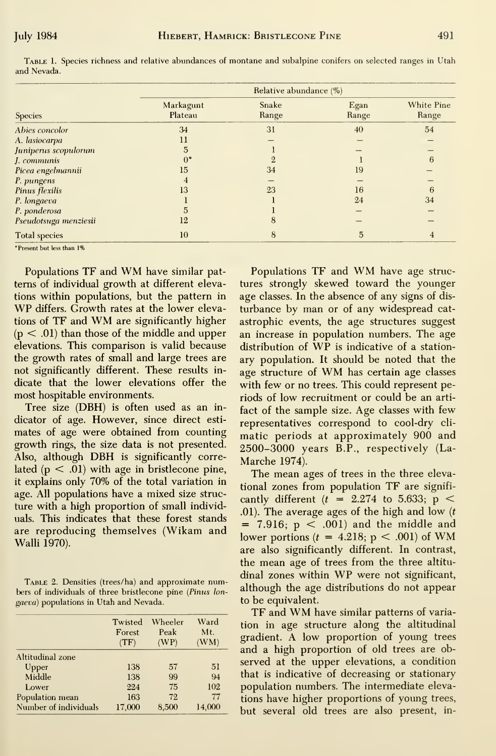| Species                       | Relative abundance (%) |                |               |                     |  |  |
|-------------------------------|------------------------|----------------|---------------|---------------------|--|--|
|                               | Markagunt<br>Plateau   | Snake<br>Range | Egan<br>Range | White Pine<br>Range |  |  |
| Abies concolor                | 34                     | 31             | 40            | 54                  |  |  |
| A. lasiocarpa                 | 11                     |                |               |                     |  |  |
| uniperus scopulorum           | 5                      |                |               |                     |  |  |
| communis                      | $0^{\circ}$            |                |               | 6                   |  |  |
| <sup>p</sup> icea engelmannii | 15                     | 34             | 19            |                     |  |  |
| <sup>p</sup> . pungens        | 4                      |                |               |                     |  |  |
| <sup>p</sup> inus flexilis    | 13                     | 23             | 16            | 6                   |  |  |
| P. longaeva                   |                        |                | 24            | 34                  |  |  |
| P. ponderosa                  | 5                      |                |               |                     |  |  |
| Pseudotsuga menziesii         | 12                     | 8              |               |                     |  |  |
| <b>Total species</b>          | 10                     | 8              | 5             | 4                   |  |  |

Table 1. Species richness and relative abundances of montane and subalpine conifers on selected ranges in Utah and Nevada.

\*Present but less than 1%

Populations TF and WM have similar patterns of individual growth at different elevations within populations, but the pattern in WP differs. Growth rates at the lower elevations of TF and WM are significantly higher  $(p < .01)$  than those of the middle and upper elevations. This comparison is valid because the growth rates of small and large trees are not significantly different. These results indicate that the lower elevations offer the most hospitable environments.

Tree size (DBH) is often used as an indicator of age. However, since direct estimates of age were obtained from counting growth rings, the size data is not presented. Also, although DBH is significantly correlated ( $p < .01$ ) with age in bristlecone pine, it explains only 70% of the total variation in age. All populations have a mixed size structure with a high proportion of small individuals. This indicates that these forest stands are reproducing themselves (Wikam and Walli 1970).

TABLE 2. Densities (trees/ha) and approximate numbers of individuals of three bristlecone pine (Pinus longaeva) populations in Utah and Nevada.

|                       | Twisted<br>Forest<br>(TF) | Wheeler<br>Peak<br>(WP) | Ward<br>Mt.<br>(WM) |
|-----------------------|---------------------------|-------------------------|---------------------|
| Altitudinal zone      |                           |                         |                     |
| Upper                 | 138                       | 57                      | 51                  |
| Middle                | 138                       | 99                      | 94                  |
| Lower                 | 224                       | 75                      | 102                 |
| Population mean       | 163                       | 72                      | 77                  |
| Number of individuals | 17,000                    | 8,500                   | 14,000              |

Populations TF and WM have age structures strongly skewed toward the younger age classes. In the absence of any signs of disturbance by man or of any widespread catastrophic events, the age structures suggest an increase in population numbers. The age distribution of WP is indicative of a stationary population. It should be noted that the age structure of WM has certain age classes with few or no trees. This could represent periods of low recruitment or could be an artifact of the sample size. Age classes with few representatives correspond to cool-dry climatic periods at approximately 900 and 2500-3000 years B.P., respectively (La-Marche 1974).

The mean ages of trees in the three elevational zones from population TF are significantly different ( $t = 2.274$  to 5.633; p < .01). The average ages of the high and low  $(t)$  $= 7.916$ ;  $p < .001$ ) and the middle and lower portions  $(t = 4.218; p < .001)$  of WM are also significantly different. In contrast, the mean age of trees from the three altitudinal zones within WP were not significant, although the age distributions do not appear to be equivalent.

TF and WM have similar patterns of variation in age structure along the altitudinal gradient. A low proportion of young trees and a high proportion of old trees are observed at the upper elevations, a condition that is indicative of decreasing or stationary population numbers. The intermediate elevations have higher proportions of young trees, but several old trees are also present, in-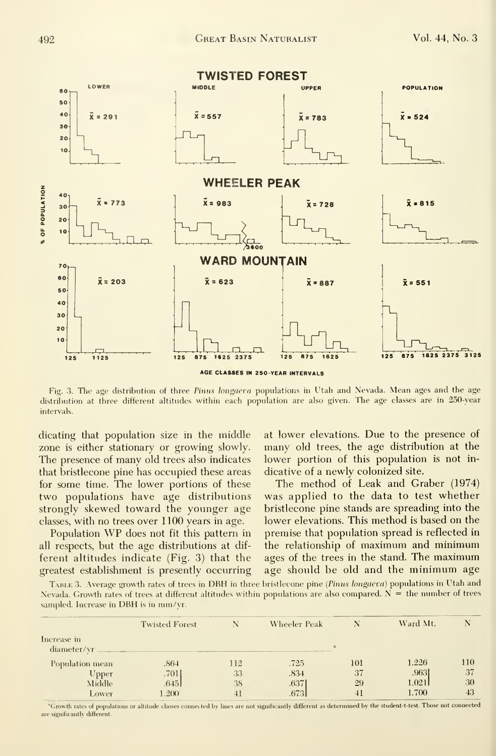

Fig. 3. The age distribution of three Pinus longaeva populations in Utah and Nevada. Mean ages and the age distribution at three different altitudes within each population are also given. The age classes are in 250-year intervals.

dicating that population size in the middle zone is either stationary or growing slowly. The presence of many old trees also indicates that bristlecone pine has occupied these areas for some time. The lower portions of these two populations have age distributions strongly skewed toward the younger age classes, with no trees over 1100 years in age.

Population WP does not fit this pattern in all respects, but the age distributions at different altitudes indicate (Fig. 3) that the greatest establishment is presently occurring at lower elevations. Due to the presence of many old trees, the age distribution at the lower portion of this population is not indicative of a newly colonized site.

The method of Leak and Graber (1974) was applied to the data to test whether bristlecone pine stands are spreading into the lower elevations. This method is based on the premise that population spread is reflected in the relationship of maximum and minimum ages of the trees in the stand. The maximum age should be old and the minimum age

TABLE 3. Average growth rates of trees in DBH in three bristlecone pine (Pinus longaeva) populations in Utah and Nevada. Growth rates of trees at different altitudes within populations are also compared.  $N =$  the number of trees sampled. Increase in DBH is in mm/yr.

|                 | <b>Twisted Forest</b> |     | Wheeler Peak |         | Ward Mt. |     |
|-----------------|-----------------------|-----|--------------|---------|----------|-----|
| Increase in     |                       |     |              |         |          |     |
| diameter/vr     |                       |     |              | $\circ$ |          |     |
| Population mean | .864                  | 112 | .725         | 101     | 1.226    | 110 |
| Upper           | .701                  | 33  | .834         | 37      | .9631    | 37  |
| Middle          | .645                  | 38  | .637         | 29      | 1.021    | 30  |
| Lower           | .200                  |     | .673         | 41      | 1.700    | 43  |

Growth rates of populations or altitude classes connected by lines are not significantly different as determined by the student-t-test. Those not connected are significantly different.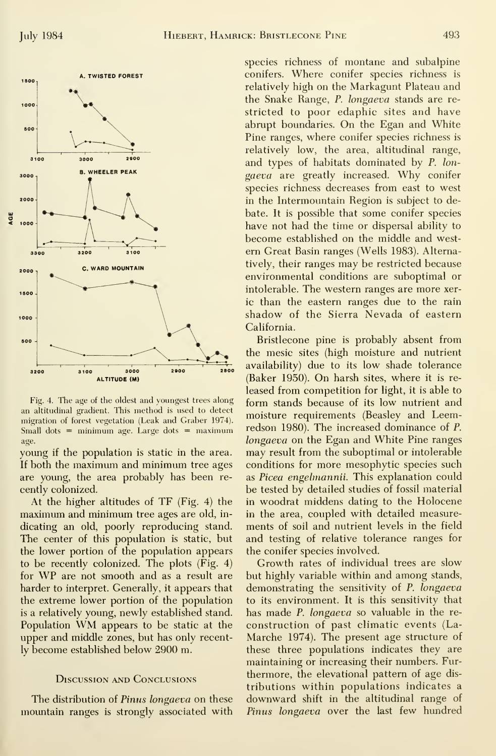

Fig. 4. The age of the oldest and youngest trees along an altitudinal gradient. This method is used to detect migration of forest vegetation (Leak and Graber 1974). Small dots  $=$  minimum age. Large dots  $=$  maximum age.

young if the population is static in the area. If both the maximum and minimum tree ages are young, the area probably has been recently colonized.

At the higher altitudes of TF (Fig. 4) the maximum and minimum tree ages are old, in dicating an old, poorly reproducing stand. The center of this population is static, but the lower portion of the population appears to be recently colonized. The plots (Fig. 4) for WP are not smooth and as <sup>a</sup> result are harder to interpret. Generally, it appears that the extreme lower portion of the population is a relatively young, newly established stand. Population WM appears to be static at the upper and middle zones, but has only recently become established below 2900 m.

#### Discussion and Conclusions

The distribution of Pinus longaeva on these mountain ranges is strongly associated with species richness of montane and subalpine conifers. Where conifer species richness is relatively high on the Markagunt Plateau and the Snake Range, P. longaeva stands are re stricted to poor edaphic sites and have abrupt boundaries. On the Egan and White Pine ranges, where conifer species richness is relatively low, the area, altitudinal range, and types of habitats dominated by P. lon gaeva are greatly increased. Why conifer species richness decreases from east to west in the Intermountain Region is subject to debate. It is possible that some conifer species have not had the time or dispersal ability to become established on the middle and west ern Great Basin ranges (Wells 1983). Alternatively, their ranges may be restricted because environmental conditions are suboptimal or intolerable. The western ranges are more xeric than the eastern ranges due to the rain shadow of the Sierra Nevada of eastern California.

Bristlecone pine is probably absent from the mesic sites (high moisture and nutrient availability) due to its low shade tolerance  $(Baker 1950)$ . On harsh sites, where it is released from competition for light, it is able to form stands because of its low nutrient and moisture requirements (Beasley and Leemredson 1980). The increased dominance of P. longaeva on the Egan and White Pine ranges may result from the suboptimal or intolerable conditions for more mesophytic species such as Picea engelmannii. This explanation could be tested by detailed studies of fossil material in woodrat middens dating to the Holocene in the area, coupled with detailed measure ments of soil and nutrient levels in the field and testing of relative tolerance ranges for the conifer species involved.

Growth rates of individual trees are slow but highly variable within and among stands, demonstrating the sensitivity of P. longaeva to its environment. It is this sensitivity that has made *P. longaeva* so valuable in the reconstruction of past climatic events (La-Marche 1974). The present age structure of these three populations indicates they are maintaining or increasing their numbers. Fur thermore, the elevational pattern of age dis tributions within populations indicates a downward shift in the altitudinal range of Pinus longaeva over the last few hundred